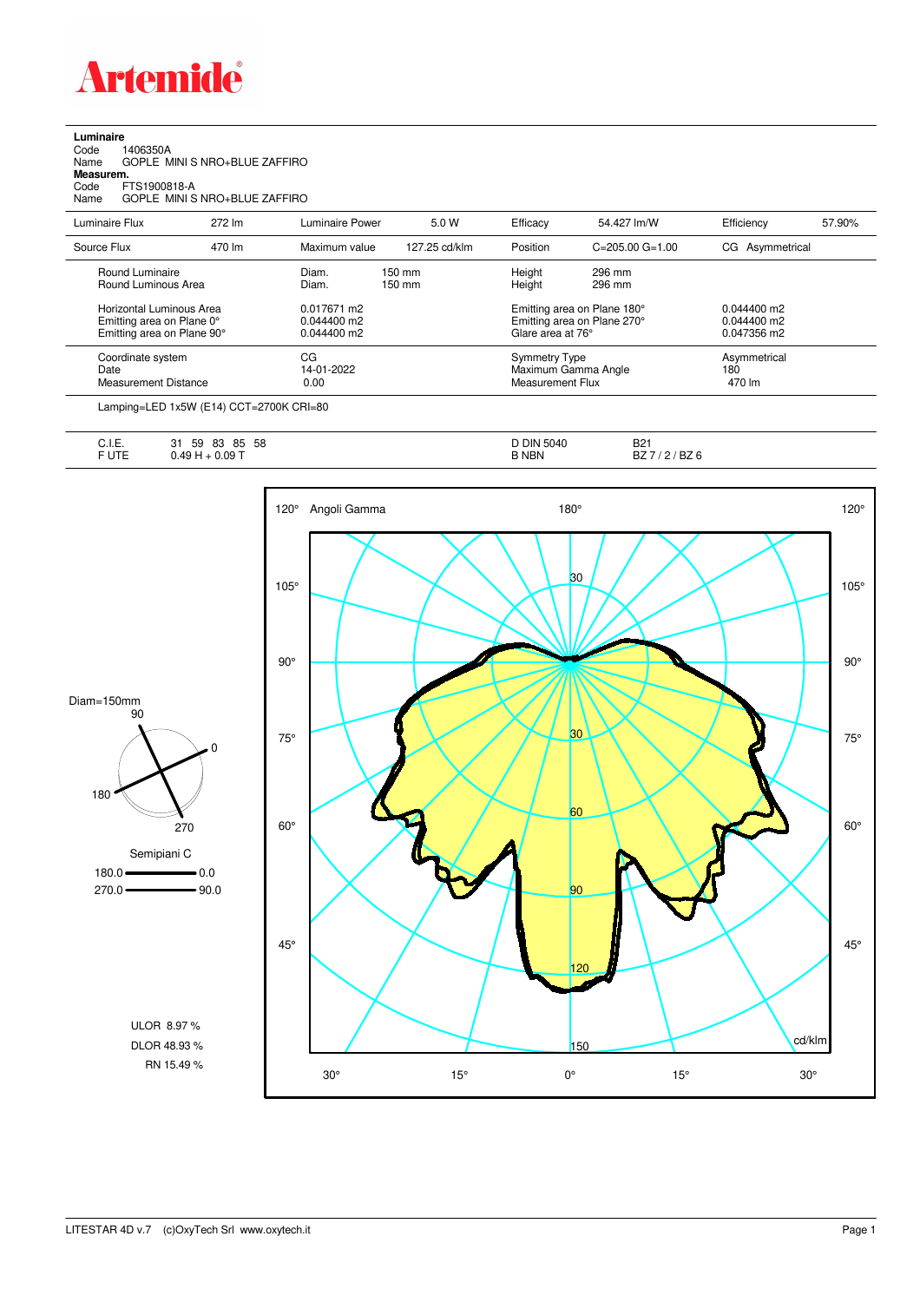

| Luminaire |  |
|-----------|--|
|           |  |

| 1406350A<br>Code<br>Name<br>Measurem.<br>FTS1900818-A<br>Code<br>Name               | GOPLE MINI S NRO+BLUE ZAFFIRO<br>GOPLE MINI S NRO+BLUE ZAFFIRO |                                             |                            |                                                                                 |                         |                                             |        |
|-------------------------------------------------------------------------------------|----------------------------------------------------------------|---------------------------------------------|----------------------------|---------------------------------------------------------------------------------|-------------------------|---------------------------------------------|--------|
| Luminaire Flux                                                                      | 272 lm                                                         | Luminaire Power                             | 5.0 W                      | Efficacy                                                                        | 54.427 lm/W             | Efficiency                                  | 57.90% |
| Source Flux                                                                         | 470 lm                                                         | Maximum value                               | 127.25 cd/klm              | Position                                                                        | $C = 205.00$ $G = 1.00$ | CG Asymmetrical                             |        |
| Round Luminaire<br>Round Luminous Area                                              |                                                                | Diam.<br>Diam.                              | 150 mm<br>$150 \text{ mm}$ | Height<br>Height                                                                | 296 mm<br>296 mm        |                                             |        |
| Horizontal Luminous Area<br>Emitting area on Plane 0°<br>Emitting area on Plane 90° |                                                                | 0.017671 m2<br>0.044400 m2<br>$0.044400$ m2 |                            | Emitting area on Plane 180°<br>Emitting area on Plane 270°<br>Glare area at 76° |                         | $0.044400$ m2<br>0.044400 m2<br>0.047356 m2 |        |
| Coordinate system<br>Date<br><b>Measurement Distance</b>                            |                                                                | CG<br>14-01-2022<br>0.00                    |                            | <b>Symmetry Type</b><br><b>Measurement Flux</b>                                 | Maximum Gamma Angle     | Asymmetrical<br>180<br>470 lm               |        |
|                                                                                     | Lamping=LED 1x5W (E14) CCT=2700K CRI=80                        |                                             |                            |                                                                                 |                         |                                             |        |

| $\sim$ $\sim$<br>∪. I. ⊏.<br>T | 58<br>83<br>59<br>85<br>ັບເ<br>.09T | <b>DIN 5040</b><br><b>B NBN</b> | DO <sub>1</sub><br>DZ.<br>-- -<br>BZ |
|--------------------------------|-------------------------------------|---------------------------------|--------------------------------------|
| ◡                              |                                     |                                 | OL.                                  |